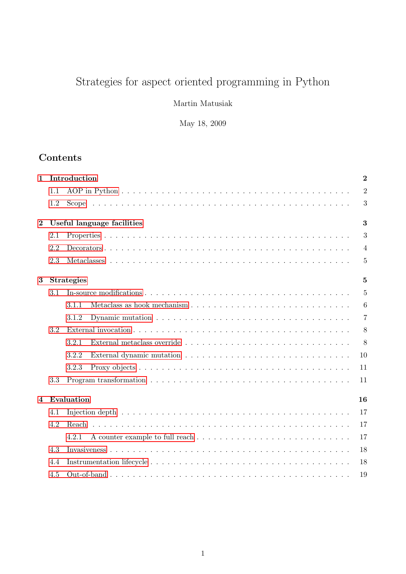# Strategies for aspect oriented programming in Python

Martin Matusiak

May 18, 2009

# Contents

| 1              |     | Introduction                                                                                                    |                  |  |  |  |  |
|----------------|-----|-----------------------------------------------------------------------------------------------------------------|------------------|--|--|--|--|
|                | 1.1 |                                                                                                                 | $\overline{2}$   |  |  |  |  |
|                | 1.2 |                                                                                                                 | $\boldsymbol{3}$ |  |  |  |  |
| $\bf{2}$       |     | Useful language facilities<br>3                                                                                 |                  |  |  |  |  |
|                | 2.1 |                                                                                                                 | 3                |  |  |  |  |
|                | 2.2 |                                                                                                                 | $\overline{4}$   |  |  |  |  |
|                | 2.3 |                                                                                                                 | $\overline{5}$   |  |  |  |  |
| 3              |     | <b>Strategies</b>                                                                                               | $\overline{5}$   |  |  |  |  |
|                | 3.1 |                                                                                                                 | $\overline{5}$   |  |  |  |  |
|                |     | 3.1.1                                                                                                           | 6                |  |  |  |  |
|                |     | Dynamic mutation $\ldots \ldots \ldots \ldots \ldots \ldots \ldots \ldots \ldots \ldots \ldots \ldots$<br>3.1.2 | $\overline{7}$   |  |  |  |  |
|                | 3.2 |                                                                                                                 | 8                |  |  |  |  |
|                |     | 3.2.1                                                                                                           | 8                |  |  |  |  |
|                |     | 3.2.2                                                                                                           | 10               |  |  |  |  |
|                |     | 3.2.3                                                                                                           | 11               |  |  |  |  |
|                | 3.3 |                                                                                                                 | 11               |  |  |  |  |
| $\overline{4}$ |     | Evaluation                                                                                                      | 16               |  |  |  |  |
|                | 4.1 |                                                                                                                 | 17               |  |  |  |  |
|                | 4.2 | Reach                                                                                                           | 17               |  |  |  |  |
|                |     | 4.2.1                                                                                                           | 17               |  |  |  |  |
|                | 4.3 |                                                                                                                 | 18               |  |  |  |  |
|                | 4.4 |                                                                                                                 | 18               |  |  |  |  |
|                | 4.5 |                                                                                                                 | 19               |  |  |  |  |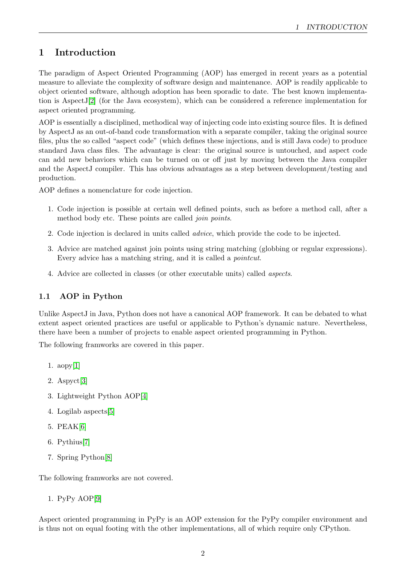# <span id="page-1-0"></span>1 Introduction

The paradigm of Aspect Oriented Programming (AOP) has emerged in recent years as a potential measure to alleviate the complexity of software design and maintenance. AOP is readily applicable to object oriented software, although adoption has been sporadic to date. The best known implementation is AspectJ[\[2\]](#page-18-1) (for the Java ecosystem), which can be considered a reference implementation for aspect oriented programming.

AOP is essentially a disciplined, methodical way of injecting code into existing source files. It is defined by AspectJ as an out-of-band code transformation with a separate compiler, taking the original source files, plus the so called "aspect code" (which defines these injections, and is still Java code) to produce standard Java class files. The advantage is clear: the original source is untouched, and aspect code can add new behaviors which can be turned on or off just by moving between the Java compiler and the AspectJ compiler. This has obvious advantages as a step between development/testing and production.

AOP defines a nomenclature for code injection.

- 1. Code injection is possible at certain well defined points, such as before a method call, after a method body etc. These points are called *join points*.
- 2. Code injection is declared in units called advice, which provide the code to be injected.
- 3. Advice are matched against join points using string matching (globbing or regular expressions). Every advice has a matching string, and it is called a *pointcut*.
- 4. Advice are collected in classes (or other executable units) called aspects.

# <span id="page-1-1"></span>1.1 AOP in Python

Unlike AspectJ in Java, Python does not have a canonical AOP framework. It can be debated to what extent aspect oriented practices are useful or applicable to Python's dynamic nature. Nevertheless, there have been a number of projects to enable aspect oriented programming in Python.

The following framworks are covered in this paper.

- 1. aopy[\[1\]](#page-18-2)
- 2. Aspyct[\[3\]](#page-18-3)
- 3. Lightweight Python AOP[\[4\]](#page-18-4)
- 4. Logilab aspects[\[5\]](#page-18-5)
- 5. PEAK[\[6\]](#page-18-6)
- 6. Pythius[\[7\]](#page-18-7)
- 7. Spring Python[\[8\]](#page-18-8)

The following framworks are not covered.

1. PyPy AOP[\[9\]](#page-18-9)

Aspect oriented programming in PyPy is an AOP extension for the PyPy compiler environment and is thus not on equal footing with the other implementations, all of which require only CPython.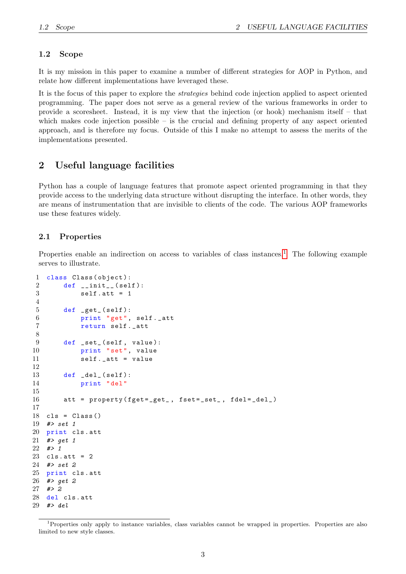## <span id="page-2-0"></span>1.2 Scope

It is my mission in this paper to examine a number of different strategies for AOP in Python, and relate how different implementations have leveraged these.

It is the focus of this paper to explore the strategies behind code injection applied to aspect oriented programming. The paper does not serve as a general review of the various frameworks in order to provide a scoresheet. Instead, it is my view that the injection (or hook) mechanism itself – that which makes code injection possible – is the crucial and defining property of any aspect oriented approach, and is therefore my focus. Outside of this I make no attempt to assess the merits of the implementations presented.

# <span id="page-2-1"></span>2 Useful language facilities

Python has a couple of language features that promote aspect oriented programming in that they provide access to the underlying data structure without disrupting the interface. In other words, they are means of instrumentation that are invisible to clients of the code. The various AOP frameworks use these features widely.

#### <span id="page-2-2"></span>2.1 Properties

Properties enable an indirection on access to variables of class instances.<sup>[1](#page-2-3)</sup> The following example serves to illustrate.

```
1 class Class ( object ):
2 def __init__(self):
3 self.att = 1
4
5 def get_{s} (self):
6 print "get", self . _att
7 return self . _att
8
9 def _set_(self, value):
10 print "set", value
11 self . _att = value
12
13 def del_{s} (self):
14 print "del"
15
16 att = property (fget=_get_, fset=_set_, fdel=_del_)
17
18 cls = Class ()
19 #> set 1
20 print cls . att
21 #> get 1
22 #> 1
23 cls.att = 224 #> set 2
25 print cls . att
26 #> get 2
27 #> 2
28 del cls . att
29 # > del
```
<span id="page-2-3"></span><sup>&</sup>lt;sup>1</sup>Properties only apply to instance variables, class variables cannot be wrapped in properties. Properties are also limited to new style classes.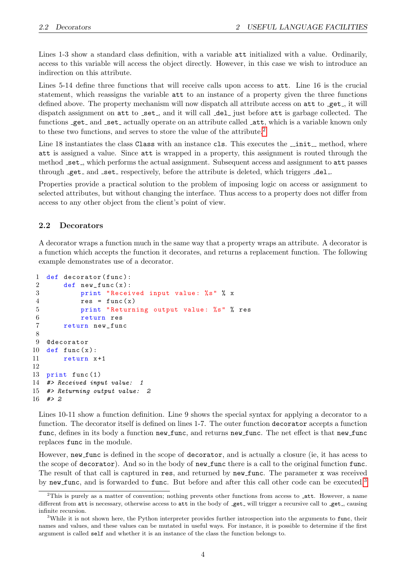Lines 1-3 show a standard class definition, with a variable att initialized with a value. Ordinarily, access to this variable will access the object directly. However, in this case we wish to introduce an indirection on this attribute.

Lines 5-14 define three functions that will receive calls upon access to att. Line 16 is the crucial statement, which reassigns the variable att to an instance of a property given the three functions defined above. The property mechanism will now dispatch all attribute access on att to get, it will dispatch assignment on att to \_set\_, and it will call \_del\_ just before att is garbage collected. The functions get and set actually operate on an attribute called  $\lnot$  att, which is a variable known only to these two functions, and serves to store the value of the attribute.<sup>[2](#page-3-1)</sup>

Line 18 instantiates the class Class with an instance cls. This executes the \_init\_ method, where att is assigned a value. Since att is wrapped in a property, this assignment is routed through the method set, which performs the actual assignment. Subsequent access and assignment to att passes through get and set respectively, before the attribute is deleted, which triggers  $\text{del}$ .

Properties provide a practical solution to the problem of imposing logic on access or assignment to selected attributes, but without changing the interface. Thus access to a property does not differ from access to any other object from the client's point of view.

#### <span id="page-3-0"></span>2.2 Decorators

A decorator wraps a function much in the same way that a property wraps an attribute. A decorator is a function which accepts the function it decorates, and returns a replacement function. The following example demonstrates use of a decorator.

```
1 def decorator (func):
2 def new_func(x):
3 print "Received input value: %s" % x
4 \qquad \qquad res = func (x)
5 print " Returning output value : %s" % res
6 return res
7 return new_func
8
9 @decorator
10 def func(x):
11 return x+1
12
13 print func (1)
14 #> Received input value: 1
15 #> Returning output value: 2
16 #> 2
```
Lines 10-11 show a function definition. Line 9 shows the special syntax for applying a decorator to a function. The decorator itself is defined on lines 1-7. The outer function decorator accepts a function func, defines in its body a function new func, and returns new func. The net effect is that new func replaces func in the module.

However, new func is defined in the scope of decorator, and is actually a closure (ie, it has acess to the scope of decorator). And so in the body of new func there is a call to the original function func. The result of that call is captured in res, and returned by new func. The parameter x was received by new func, and is forwarded to func. But before and after this call other code can be executed.<sup>[3](#page-3-2)</sup>

<span id="page-3-1"></span><sup>&</sup>lt;sup>2</sup>This is purely as a matter of convention; nothing prevents other functions from access to \_att. However, a name different from att is necessary, otherwise access to att in the body of get will trigger a recursive call to get, causing infinite recursion.

<span id="page-3-2"></span><sup>&</sup>lt;sup>3</sup>While it is not shown here, the Python interpreter provides further introspection into the arguments to func, their names and values, and these values can be mutated in useful ways. For instance, it is possible to determine if the first argument is called self and whether it is an instance of the class the function belongs to.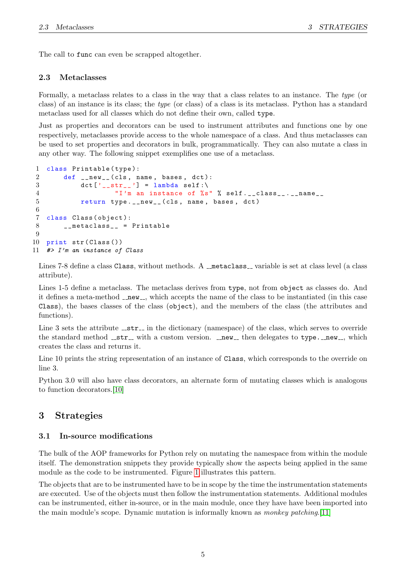The call to func can even be scrapped altogether.

### <span id="page-4-0"></span>2.3 Metaclasses

Formally, a metaclass relates to a class in the way that a class relates to an instance. The type (or class) of an instance is its class; the type (or class) of a class is its metaclass. Python has a standard metaclass used for all classes which do not define their own, called type.

Just as properties and decorators can be used to instrument attributes and functions one by one respectively, metaclasses provide access to the whole namespace of a class. And thus metaclasses can be used to set properties and decorators in bulk, programmatically. They can also mutate a class in any other way. The following snippet exemplifies one use of a metaclass.

```
1 class Printable (type):<br>2 def new (cls. n
         def \_new_{-} (cls, name, bases, dct):3 \text{ det} [\text{ }^{\prime} \text{ } _{\text{ }_{\text{}}\text{ }_{\text{}}\text{ }}] = \text{lambda self:} \backslash4 "I'm an instance of %s" % self . __class__ . __name__
5 return type.__new__(cls, name, bases, dct)
6
7 class Class (object):
8 __metaclass__ = Printable
9
10 print str( Class())11 #> I'm an instance of Class
```
Lines 7-8 define a class Class, without methods. A  $\overline{\ }$  metaclass  $\overline{\ }$  variable is set at class level (a class attribute).

Lines 1-5 define a metaclass. The metaclass derives from type, not from object as classes do. And it defines a meta-method  $\text{new}$ , which accepts the name of the class to be instantiated (in this case Class), the bases classes of the class (object), and the members of the class (the attributes and functions).

Line 3 sets the attribute  $\text{Istr}_i$  in the dictionary (namespace) of the class, which serves to override the standard method  $z_{\text{str}}$  with a custom version.  $z_{\text{new}}$  then delegates to type.  $z_{\text{new}}$ , which creates the class and returns it.

Line 10 prints the string representation of an instance of Class, which corresponds to the override on line 3.

Python 3.0 will also have class decorators, an alternate form of mutating classes which is analogous to function decorators.[\[10\]](#page-18-10)

# <span id="page-4-1"></span>3 Strategies

## <span id="page-4-2"></span>3.1 In-source modifications

The bulk of the AOP frameworks for Python rely on mutating the namespace from within the module itself. The demonstration snippets they provide typically show the aspects being applied in the same module as the code to be instrumented. Figure [1](#page-5-1) illustrates this pattern.

The objects that are to be instrumented have to be in scope by the time the instrumentation statements are executed. Use of the objects must then follow the instrumentation statements. Additional modules can be instrumented, either in-source, or in the main module, once they have have been imported into the main module's scope. Dynamic mutation is informally known as monkey patching.[\[11\]](#page-18-11)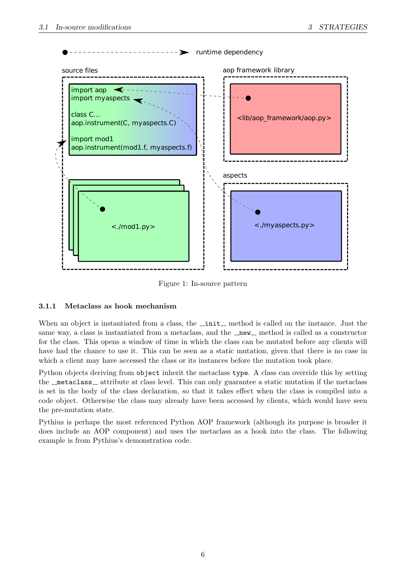

<span id="page-5-1"></span>Figure 1: In-source pattern

# <span id="page-5-0"></span>3.1.1 Metaclass as hook mechanism

When an object is instantiated from a class, the  $\bot$ init  $\bot$  method is called on the instance. Just the same way, a class is instantiated from a metaclass, and the  $\sqrt{m}$  method is called as a constructor for the class. This opens a window of time in which the class can be mutated before any clients will have had the chance to use it. This can be seen as a static mutation, given that there is no case in which a client may have accessed the class or its instances before the mutation took place.

Python objects deriving from object inherit the metaclass type. A class can override this by setting the  $\lnot$  metaclass  $\lnot$  attribute at class level. This can only guarantee a static mutation if the metaclass is set in the body of the class declaration, so that it takes effect when the class is compiled into a code object. Otherwise the class may already have been accessed by clients, which would have seen the pre-mutation state.

Pythius is perhaps the most referenced Python AOP framework (although its purpose is broader it does include an AOP component) and uses the metaclass as a hook into the class. The following example is from Pythius's demonstration code.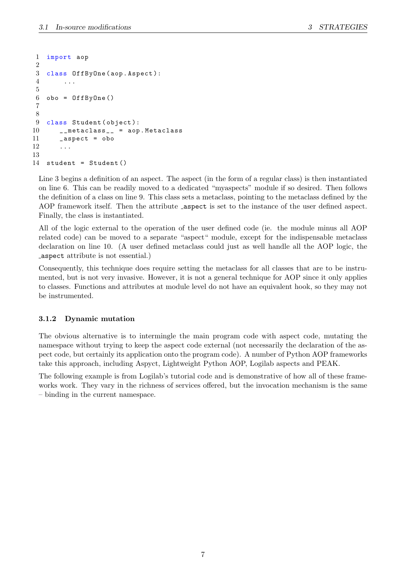```
1 import aop
2
3 class OffByOne ( aop . Aspect ):
4 ...
5
6 obo = OffByOne()
7
8
9 class Student (object):
10 __metaclass__ = aop . Metaclass
11 _aspect = obo
12 ...
13
14 student = Student ()
```
Line 3 begins a definition of an aspect. The aspect (in the form of a regular class) is then instantiated on line 6. This can be readily moved to a dedicated "myaspects" module if so desired. Then follows the definition of a class on line 9. This class sets a metaclass, pointing to the metaclass defined by the AOP framework itself. Then the attribute aspect is set to the instance of the user defined aspect. Finally, the class is instantiated.

All of the logic external to the operation of the user defined code (ie. the module minus all AOP related code) can be moved to a separate "aspect" module, except for the indispensable metaclass declaration on line 10. (A user defined metaclass could just as well handle all the AOP logic, the aspect attribute is not essential.)

Consequently, this technique does require setting the metaclass for all classes that are to be instrumented, but is not very invasive. However, it is not a general technique for AOP since it only applies to classes. Functions and attributes at module level do not have an equivalent hook, so they may not be instrumented.

#### <span id="page-6-0"></span>3.1.2 Dynamic mutation

The obvious alternative is to intermingle the main program code with aspect code, mutating the namespace without trying to keep the aspect code external (not necessarily the declaration of the aspect code, but certainly its application onto the program code). A number of Python AOP frameworks take this approach, including Aspyct, Lightweight Python AOP, Logilab aspects and PEAK.

The following example is from Logilab's tutorial code and is demonstrative of how all of these frameworks work. They vary in the richness of services offered, but the invocation mechanism is the same – binding in the current namespace.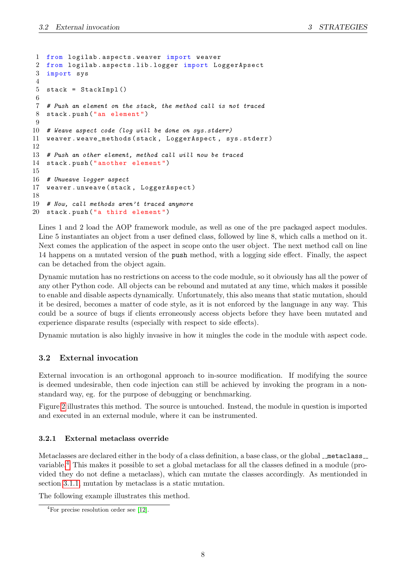```
1 from logilab . aspects . weaver import weaver
2 from logilab . aspects . lib . logger import LoggerApsect
3 import sys
4
5 stack = StackImpl()
6
7 # Push an element on the stack, the method call is not traced
8 stack . push ("an element ")
9
10 # Weave aspect code (log will be done on sys.stderr)
11 weaver . weave_methods ( stack , LoggerAspect , sys . stderr )
12
13 # Push an other element, method call will now be traced
14 stack . push (" another element ")
15
16 # Unweave logger aspect
17 weaver . unweave ( stack , LoggerAspect )
18
19 # Now, call methods aren't traced anymore
20 stack . push ("a third element ")
```
Lines 1 and 2 load the AOP framework module, as well as one of the pre packaged aspect modules. Line 5 instantiates an object from a user defined class, followed by line 8, which calls a method on it. Next comes the application of the aspect in scope onto the user object. The next method call on line 14 happens on a mutated version of the push method, with a logging side effect. Finally, the aspect can be detached from the object again.

Dynamic mutation has no restrictions on access to the code module, so it obviously has all the power of any other Python code. All objects can be rebound and mutated at any time, which makes it possible to enable and disable aspects dynamically. Unfortunately, this also means that static mutation, should it be desired, becomes a matter of code style, as it is not enforced by the language in any way. This could be a source of bugs if clients erroneously access objects before they have been mutated and experience disparate results (especially with respect to side effects).

Dynamic mutation is also highly invasive in how it mingles the code in the module with aspect code.

## <span id="page-7-0"></span>3.2 External invocation

External invocation is an orthogonal approach to in-source modification. If modifying the source is deemed undesirable, then code injection can still be achieved by invoking the program in a nonstandard way, eg. for the purpose of debugging or benchmarking.

Figure [2](#page-8-0) illustrates this method. The source is untouched. Instead, the module in question is imported and executed in an external module, where it can be instrumented.

#### <span id="page-7-1"></span>3.2.1 External metaclass override

Metaclasses are declared either in the body of a class definition, a base class, or the global  $\lnot$  metaclass variable.[4](#page-7-2) This makes it possible to set a global metaclass for all the classes defined in a module (provided they do not define a metaclass), which can mutate the classes accordingly. As mentionded in section [3.1.1,](#page-5-0) mutation by metaclass is a static mutation.

The following example illustrates this method.

<span id="page-7-2"></span><sup>4</sup>For precise resolution order see [\[12\]](#page-18-12).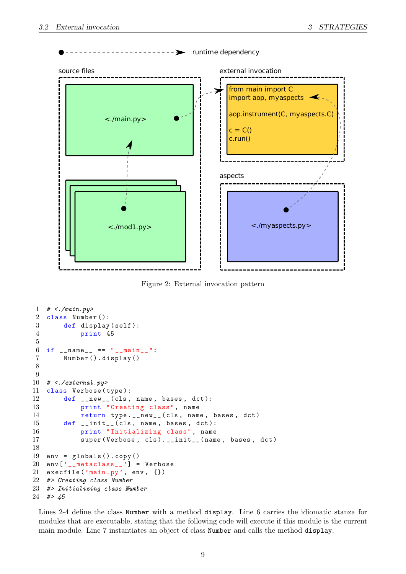

<span id="page-8-0"></span>Figure 2: External invocation pattern

```
1 # <./main.py>
2 class Number ():
3 def display (self):
4 print 45
5
6 if _{-}name_{-} == "_{-}main_{-}":
7 Number (). display ()
8
9
10 \# <./external.py>
11 class Verbose (type):
12 def __new__(cls, name, bases, dct):
13 print " Creating class ", name
14 return type.__new__(cls, name, bases, dct)
15 def __init__(cls, name, bases, dct):
16 print " Initializing class ", name
17 super (Verbose, cls).__init__(name, bases, dct)
18
19 env = globals (). copy ()
20 env['_\_metaclass\_'] = Verbose21 execfile ('main.py', env, {})
22 #> Creating class Number
23 #> Initializing class Number
24 #> 45
```
Lines 2-4 define the class Number with a method display. Line 6 carries the idiomatic stanza for modules that are executable, stating that the following code will execute if this module is the current main module. Line 7 instantiates an object of class Number and calls the method display.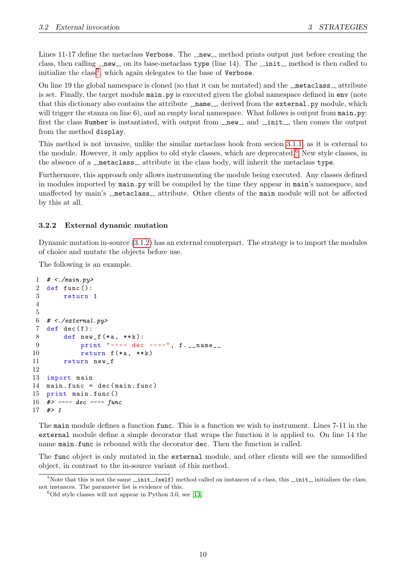Lines 11-17 define the metaclass Verbose. The  $\lnot$ -new  $\lnot$ -method prints output just before creating the class, then calling  $\text{__new__}$  on its base-metaclass type (line 14). The  $\text{__init__}$  method is then called to initialize the class<sup>[5](#page-9-1)</sup>, which again delegates to the base of  $Verbose$ .

On line 19 the global namespace is cloned (so that it can be mutated) and the  $\lnot$  metaclass $\lnot$  attribute is set. Finally, the target module main.py is executed given the global namespace defined in env (note that this dictionary also contains the attribute  $\Box$  name  $\Box$ , derived from the external.py module, which will trigger the stanza on line  $6$ ), and an empty local namespace. What follows is output from  $\text{main.py:}$ first the class Number is instantiated, with output from  $\text{__new__}$  and  $\text{__init__}$ , then comes the output from the method display.

This method is not invasive, unlike the similar metaclass hook from secion [3.1.1,](#page-5-0) as it is external to the module. However, it only applies to old style classes, which are deprecated.<sup>[6](#page-9-2)</sup> New style classes, in the absence of a  $\lnot$  metaclass  $\lnot$  attribute in the class body, will inherit the metaclass type.

Furthermore, this approach only allows instrumenting the module being executed. Any classes defined in modules imported by main.py will be compiled by the time they appear in main's namespace, and unaffected by main's \_metaclass\_ attribute. Other clients of the main module will not be affected by this at all.

#### <span id="page-9-0"></span>3.2.2 External dynamic mutation

Dynamic mutation in-source [\(3.1.2\)](#page-6-0) has an external counterpart. The strategy is to import the modules of choice and mutate the objects before use.

The following is an example.

```
1 # <./main.py>
2 def func ():
3 return 1
4
5
6 # <./external.py>
7 def dec(f):
8 def new_f (*a, **k):
9 print "---- dec ----", f.__name__
10 return f (* a, ** k)11 return new_f
12
13 import main
14 main.func = dec (main .func)15 print main . func ()
16 # ---- dec ---- func
17 #> 1
```
The main module defines a function func. This is a function we wish to instrument. Lines 7-11 in the external module define a simple decorator that wraps the function it is applied to. On line 14 the name main.func is rebound with the decorator dec. Then the function is called.

The func object is only mutated in the external module, and other clients will see the unmodified object, in contrast to the in-source variant of this method.

<span id="page-9-1"></span> $5$ Note that this is not the same  $\text{\_init}\_\text{(self)}$  method called on instances of a class, this  $\text{\_init}\_\text{initializes}$  the class, not instances. The parameter list is evidence of this.

<span id="page-9-2"></span> $6$ Old style classes will not appear in Python 3.0, see [\[13\]](#page-18-13).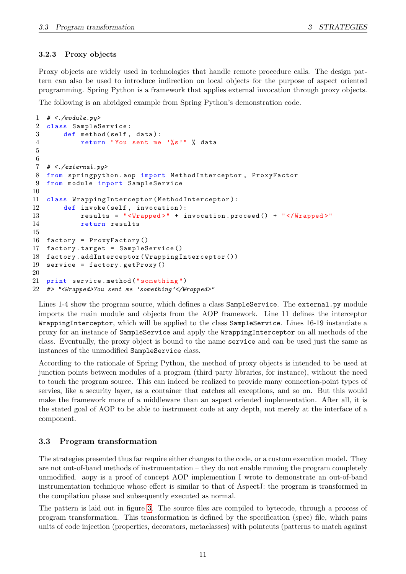#### <span id="page-10-0"></span>3.2.3 Proxy objects

Proxy objects are widely used in technologies that handle remote procedure calls. The design pattern can also be used to introduce indirection on local objects for the purpose of aspect oriented programming. Spring Python is a framework that applies external invocation through proxy objects.

The following is an abridged example from Spring Python's demonstration code.

```
1 \# <./module.py>
2 class SampleService :
3 def method (self, data):
4 return "You sent me '%s'" % data
5
6
7 # <./external.py>
8 from springpython . aop import MethodInterceptor , ProxyFactor
9 from module import SampleService
10
11 class WrappingInterceptor ( MethodInterceptor ):
12 def invoke (self, invocation):
13 results = "<Wrapped>" + invocation.proceed() + "</Wrapped>"
14 return results
15
16 factory = ProxyFactory ()
17 factory . target = SampleService ()
18 factory . addInterceptor ( WrappingInterceptor ())
19 service = factory . getProxy ()
20
21 print service . method (" something ")
22 #> "<Wrapped>You sent me 'something'</Wrapped>"
```
Lines 1-4 show the program source, which defines a class SampleService. The external.py module imports the main module and objects from the AOP framework. Line 11 defines the interceptor WrappingInterceptor, which will be applied to the class SampleService. Lines 16-19 instantiate a proxy for an instance of SampleService and apply the WrappingInterceptor on all methods of the class. Eventually, the proxy object is bound to the name service and can be used just the same as instances of the unmodified SampleService class.

According to the rationale of Spring Python, the method of proxy objects is intended to be used at junction points between modules of a program (third party libraries, for instance), without the need to touch the program source. This can indeed be realized to provide many connection-point types of servies, like a security layer, as a container that catches all exceptions, and so on. But this would make the framework more of a middleware than an aspect oriented implementation. After all, it is the stated goal of AOP to be able to instrument code at any depth, not merely at the interface of a component.

#### <span id="page-10-1"></span>3.3 Program transformation

The strategies presented thus far require either changes to the code, or a custom execution model. They are not out-of-band methods of instrumentation – they do not enable running the program completely unmodified. aopy is a proof of concept AOP implemention I wrote to demonstrate an out-of-band instrumentation technique whose effect is similar to that of AspectJ: the program is transformed in the compilation phase and subsequently executed as normal.

The pattern is laid out in figure [3.](#page-11-0) The source files are compiled to bytecode, through a process of program transformation. This transformation is defined by the specification (spec) file, which pairs units of code injection (properties, decorators, metaclasses) with pointcuts (patterns to match against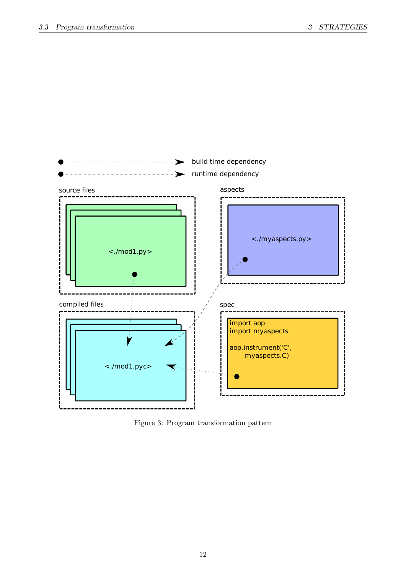

<span id="page-11-0"></span>Figure 3: Program transformation pattern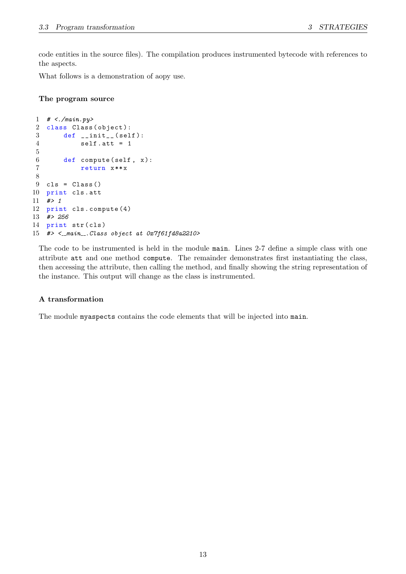code entities in the source files). The compilation produces instrumented bytecode with references to the aspects.

What follows is a demonstration of aopy use.

#### The program source

```
1 # <./main.py>
2 class Class (object):
3 def \_init\_ (self):
4 self . att = 1
5
6 def compute (self, x):
7 return x ** x
8
9 cls = Class ()
10 print cls . att
11 #> 1
12 print cls . compute (4)
13 #> 256
14 print str(cls)
15 \#> <__main_. Class object at 0x7f61fd8a2210>
```
The code to be instrumented is held in the module main. Lines 2-7 define a simple class with one attribute att and one method compute. The remainder demonstrates first instantiating the class, then accessing the attribute, then calling the method, and finally showing the string representation of the instance. This output will change as the class is instrumented.

#### A transformation

The module myaspects contains the code elements that will be injected into main.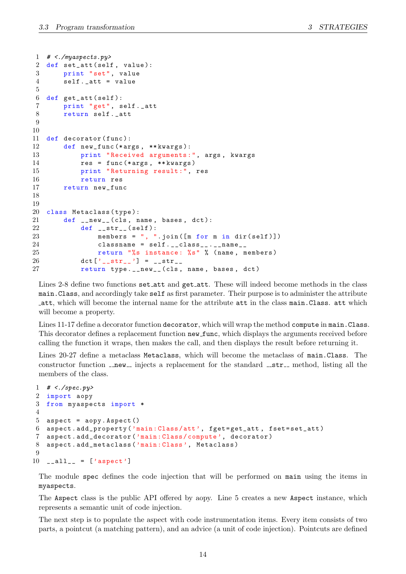```
1 \# <./myaspects.py>
2 def set_att (self, value):
3 print "set", value
4 self._att = value
5
6 def get_att ( self ):
7 print "get", self . _att
8 return self._att
9
10
11 def decorator (func):
12 def new_func (* args, ** kwargs):
13 print " Received arguments :", args , kwargs
14 res = func (*args, ** kwargs)
15 print " Returning result :", res
16 return res
17 return new_func
18
19
20 class Metaclass (type):
21 def __new__(cls, name, bases, dct):
22 def \texttt{def} \texttt{str}_-(\text{self}):
23 members = ", ".join ([m for m in dir (self)])
24 classname = self._-class\_...\_name\_25 return "%s instance : %s" % ( name , members )
26 \det [\,^{\prime}{}_{--} str_{--} \,^{\prime}] = -str_{--}27 return type.__new__(cls, name, bases, dct)
```
Lines 2-8 define two functions set att and get att. These will indeed become methods in the class main.Class, and accordingly take self as first parameter. Their purpose is to administer the attribute att, which will become the internal name for the attribute att in the class main.Class. att which will become a property.

Lines 11-17 define a decorator function decorator, which will wrap the method compute in main.Class. This decorator defines a replacement function new func, which displays the arguments received before calling the function it wraps, then makes the call, and then displays the result before returning it.

Lines 20-27 define a metaclass Metaclass, which will become the metaclass of main.Class. The constructor function  $\text{new}_-$  injects a replacement for the standard  $\text{str}_-$  method, listing all the members of the class.

```
1 \# \leq/spec.py>
2 import aopy
3 from myaspects import *
4
5 aspect = aopy. Aspect ()
6 aspect . add_property ('main : Class /att ', fget = get_att , fset = set_att )
7 aspect . add_decorator ('main : Class / compute ', decorator )
8 aspect . add_metaclass ('main : Class ', Metaclass )
\Omega10 __all__ = ['aspect']
```
The module spec defines the code injection that will be performed on main using the items in myaspects.

The Aspect class is the public API offered by aopy. Line 5 creates a new Aspect instance, which represents a semantic unit of code injection.

The next step is to populate the aspect with code instrumentation items. Every item consists of two parts, a pointcut (a matching pattern), and an advice (a unit of code injection). Pointcuts are defined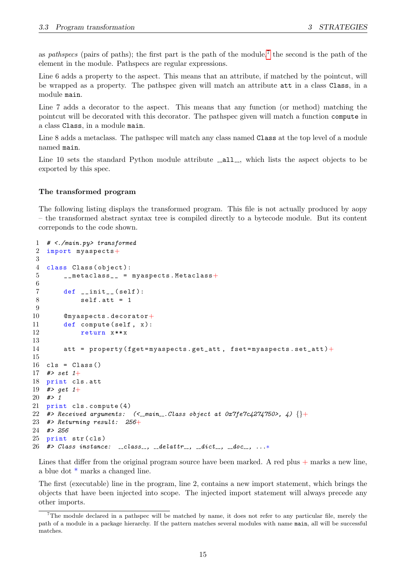as pathspecs (pairs of paths); the first part is the path of the module,<sup>[7](#page-14-0)</sup> the second is the path of the element in the module. Pathspecs are regular expressions.

Line 6 adds a property to the aspect. This means that an attribute, if matched by the pointcut, will be wrapped as a property. The pathspec given will match an attribute att in a class Class, in a module main.

Line 7 adds a decorator to the aspect. This means that any function (or method) matching the pointcut will be decorated with this decorator. The pathspec given will match a function compute in a class Class, in a module main.

Line 8 adds a metaclass. The pathspec will match any class named Class at the top level of a module named main.

Line 10 sets the standard Python module attribute \_\_all\_\_, which lists the aspect objects to be exported by this spec.

#### The transformed program

The following listing displays the transformed program. This file is not actually produced by aopy – the transformed abstract syntax tree is compiled directly to a bytecode module. But its content correponds to the code shown.

```
1 # <./main.py> transformed
2 import myaspects+
3
4 class Class ( object ):
5 \_metaclass_{--} = myaspects. Metaclass+
6
7 def __init__ ( self ):
8 self.att = 1
9
10 @myaspects . decorator+
11 def compute (self, x):
12 return x**x
13
14 att = property (fget=myaspects.get_att, fset=myaspects.set_att) +
15
16 cls = Class()
17 #> set 1+
18 print cls . att
19 #> get 1+
20 \neq 121 print cls . compute (4)
22 #> Received arguments: \langle\langle \text{Lmax}_{\text{max}} \rangle.Class object at 0x7fe7c4274750>, 4) \{\}+
23 #> Returning result: 256+24 #> 256
25 print str(cls)26 #> Class instance: \text{Llass}_{\text{L}}, \text{Ldest}_{\text{L}}, \text{Ldict}_{\text{L}}, \text{Ldoc}_{\text{L}}, ...*
```
Lines that differ from the original program source have been marked. A red plus  $+$  marks a new line, a blue dot \* marks a changed line.

The first (executable) line in the program, line 2, contains a new import statement, which brings the objects that have been injected into scope. The injected import statement will always precede any other imports.

<span id="page-14-0"></span><sup>7</sup>The module declared in a pathspec will be matched by name, it does not refer to any particular file, merely the path of a module in a package hierarchy. If the pattern matches several modules with name main, all will be successful matches.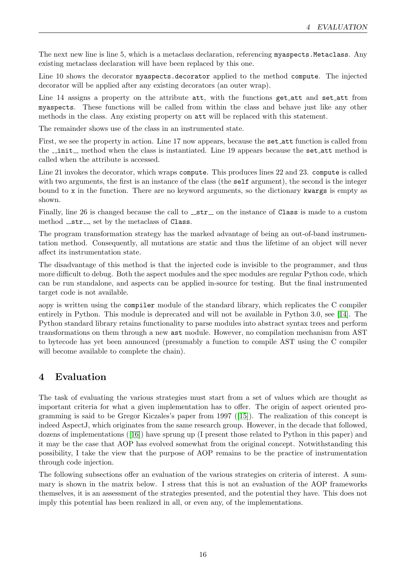The next new line is line 5, which is a metaclass declaration, referencing myaspects.Metaclass. Any existing metaclass declaration will have been replaced by this one.

Line 10 shows the decorator myaspects.decorator applied to the method compute. The injected decorator will be applied after any existing decorators (an outer wrap).

Line 14 assigns a property on the attribute att, with the functions get att and set att from myaspects. These functions will be called from within the class and behave just like any other methods in the class. Any existing property on att will be replaced with this statement.

The remainder shows use of the class in an instrumented state.

First, we see the property in action. Line 17 now appears, because the set att function is called from the  $\text{\_init}\text{\_}$  method when the class is instantiated. Line 19 appears because the set att method is called when the attribute is accessed.

Line 21 invokes the decorator, which wraps compute. This produces lines 22 and 23. compute is called with two arguments, the first is an instance of the class (the self argument), the second is the integer bound to x in the function. There are no keyword arguments, so the dictionary kwargs is empty as shown.

Finally, line 26 is changed because the call to  $\text{__str__}$  on the instance of Class is made to a custom method  $_$ <del>str</del>  $_$ , set by the metaclass of Class.

The program transformation strategy has the marked advantage of being an out-of-band instrumentation method. Consequently, all mutations are static and thus the lifetime of an object will never affect its instrumentation state.

The disadvantage of this method is that the injected code is invisible to the programmer, and thus more difficult to debug. Both the aspect modules and the spec modules are regular Python code, which can be run standalone, and aspects can be applied in-source for testing. But the final instrumented target code is not available.

aopy is written using the compiler module of the standard library, which replicates the C compiler entirely in Python. This module is deprecated and will not be available in Python 3.0, see [\[14\]](#page-18-14). The Python standard library retains functionality to parse modules into abstract syntax trees and perform transformations on them through a new ast module. However, no compilation mechanism from AST to bytecode has yet been announced (presumably a function to compile AST using the C compiler will become available to complete the chain).

# <span id="page-15-0"></span>4 Evaluation

The task of evaluating the various strategies must start from a set of values which are thought as important criteria for what a given implementation has to offer. The origin of aspect oriented programming is said to be Gregor Kiczales's paper from 1997 ([\[15\]](#page-18-15)). The realization of this concept is indeed AspectJ, which originates from the same research group. However, in the decade that followed, dozens of implementations ([\[16\]](#page-18-16)) have sprung up (I present those related to Python in this paper) and it may be the case that AOP has evolved somewhat from the original concept. Notwithstanding this possibility, I take the view that the purpose of AOP remains to be the practice of instrumentation through code injection.

The following subsections offer an evaluation of the various strategies on criteria of interest. A summary is shown in the matrix below. I stress that this is not an evaluation of the AOP frameworks themselves, it is an assessment of the strategies presented, and the potential they have. This does not imply this potential has been realized in all, or even any, of the implementations.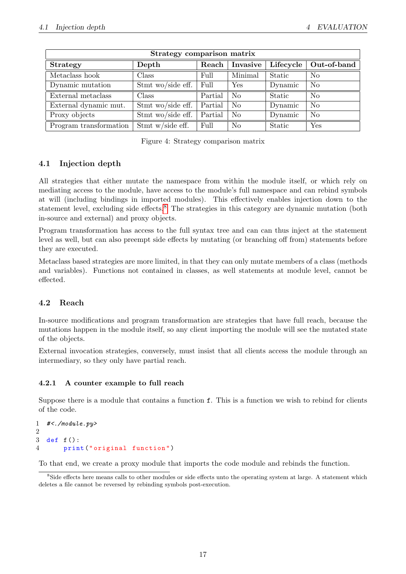| Strategy comparison matrix |                           |         |                |           |                |  |  |  |  |
|----------------------------|---------------------------|---------|----------------|-----------|----------------|--|--|--|--|
| <b>Strategy</b>            | Depth                     | Reach   | Invasive       | Lifecycle | Out-of-band    |  |  |  |  |
| Metaclass hook             | Class                     | Full    | Minimal        | Static    | N <sub>o</sub> |  |  |  |  |
| Dynamic mutation           | Stmt wo/side eff. $\vert$ | Full    | Yes            | Dynamic   | N <sub>o</sub> |  |  |  |  |
| External metaclass         | Class                     | Partial | N <sub>o</sub> | Static    | N <sub>o</sub> |  |  |  |  |
| External dynamic mut.      | Stmt wo/side eff. $\vert$ | Partial | N <sub>o</sub> | Dynamic   | N <sub>o</sub> |  |  |  |  |
| Proxy objects              | Stmt wo/side eff.         | Partial | N <sub>o</sub> | Dynamic   | N <sub>o</sub> |  |  |  |  |
| Program transformation     | Stmt w/side eff.          | Full    | N <sub>o</sub> | Static    | Yes            |  |  |  |  |

Figure 4: Strategy comparison matrix

## <span id="page-16-0"></span>4.1 Injection depth

All strategies that either mutate the namespace from within the module itself, or which rely on mediating access to the module, have access to the module's full namespace and can rebind symbols at will (including bindings in imported modules). This effectively enables injection down to the statement level, excluding side effects.<sup>[8](#page-16-3)</sup> The strategies in this category are dynamic mutation (both in-source and external) and proxy objects.

Program transformation has access to the full syntax tree and can can thus inject at the statement level as well, but can also preempt side effects by mutating (or branching off from) statements before they are executed.

Metaclass based strategies are more limited, in that they can only mutate members of a class (methods and variables). Functions not contained in classes, as well statements at module level, cannot be effected.

## <span id="page-16-1"></span>4.2 Reach

In-source modifications and program transformation are strategies that have full reach, because the mutations happen in the module itself, so any client importing the module will see the mutated state of the objects.

External invocation strategies, conversely, must insist that all clients access the module through an intermediary, so they only have partial reach.

#### <span id="page-16-2"></span>4.2.1 A counter example to full reach

Suppose there is a module that contains a function f. This is a function we wish to rebind for clients of the code.

```
1 \#<./module.py>
2
3 def f ():
4 print (" original function ")
```
To that end, we create a proxy module that imports the code module and rebinds the function.

<span id="page-16-3"></span><sup>&</sup>lt;sup>8</sup>Side effects here means calls to other modules or side effects unto the operating system at large. A statement which deletes a file cannot be reversed by rebinding symbols post-execution.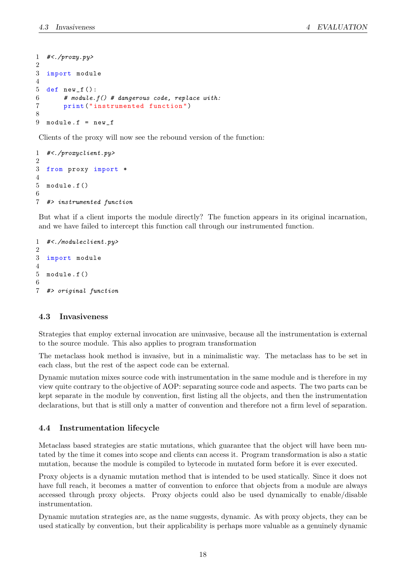```
1 \#<./proxy.py>
2
3 import module
4
5 def new_f ():
6 # module.f() # dangerous code, replace with:
7 print (" instrumented function ")
8
9 module.f = new_f
```
Clients of the proxy will now see the rebound version of the function:

```
1 #<./proxyclient.py>
2
3 from proxy import *
4
5 module . f ()
6
7 #> instrumented function
```
But what if a client imports the module directly? The function appears in its original incarnation, and we have failed to intercept this function call through our instrumented function.

```
1 #<./moduleclient.py>
2
3 import module
4
5 module . f ()
6
7 #> original function
```
#### <span id="page-17-0"></span>4.3 Invasiveness

Strategies that employ external invocation are uninvasive, because all the instrumentation is external to the source module. This also applies to program transformation

The metaclass hook method is invasive, but in a minimalistic way. The metaclass has to be set in each class, but the rest of the aspect code can be external.

Dynamic mutation mixes source code with instrumentation in the same module and is therefore in my view quite contrary to the objective of AOP: separating source code and aspects. The two parts can be kept separate in the module by convention, first listing all the objects, and then the instrumentation declarations, but that is still only a matter of convention and therefore not a firm level of separation.

## <span id="page-17-1"></span>4.4 Instrumentation lifecycle

Metaclass based strategies are static mutations, which guarantee that the object will have been mutated by the time it comes into scope and clients can access it. Program transformation is also a static mutation, because the module is compiled to bytecode in mutated form before it is ever executed.

Proxy objects is a dynamic mutation method that is intended to be used statically. Since it does not have full reach, it becomes a matter of convention to enforce that objects from a module are always accessed through proxy objects. Proxy objects could also be used dynamically to enable/disable instrumentation.

Dynamic mutation strategies are, as the name suggests, dynamic. As with proxy objects, they can be used statically by convention, but their applicability is perhaps more valuable as a genuinely dynamic